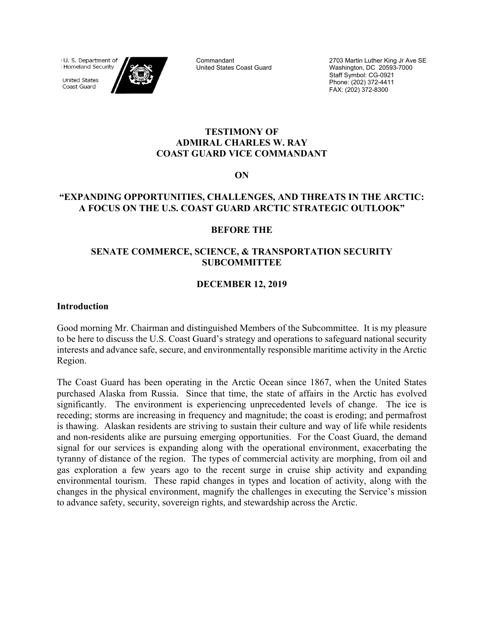(U. S. Department of Homeland Security

**United States** Coast Guard



Commandant United States Coast Guard 2703 Martin Luther King Jr Ave SE Washington, DC 20593-7000 Staff Symbol: CG-0921 Phone: (202) 372-4411 FAX: (202) 372-8300

#### **TESTIMONY OF ADMIRAL CHARLES W. RAY COAST GUARD VICE COMMANDANT**

**ON** 

## **"EXPANDING OPPORTUNITIES, CHALLENGES, AND THREATS IN THE ARCTIC: A FOCUS ON THE U.S. COAST GUARD ARCTIC STRATEGIC OUTLOOK"**

#### **BEFORE THE**

### **SENATE COMMERCE, SCIENCE, & TRANSPORTATION SECURITY SUBCOMMITTEE**

### **DECEMBER 12, 2019**

#### **Introduction**

Good morning Mr. Chairman and distinguished Members of the Subcommittee. It is my pleasure to be here to discuss the U.S. Coast Guard's strategy and operations to safeguard national security interests and advance safe, secure, and environmentally responsible maritime activity in the Arctic Region.

The Coast Guard has been operating in the Arctic Ocean since 1867, when the United States purchased Alaska from Russia. Since that time, the state of affairs in the Arctic has evolved significantly. The environment is experiencing unprecedented levels of change. The ice is receding; storms are increasing in frequency and magnitude; the coast is eroding; and permafrost is thawing. Alaskan residents are striving to sustain their culture and way of life while residents and non-residents alike are pursuing emerging opportunities. For the Coast Guard, the demand signal for our services is expanding along with the operational environment, exacerbating the tyranny of distance of the region. The types of commercial activity are morphing, from oil and gas exploration a few years ago to the recent surge in cruise ship activity and expanding environmental tourism. These rapid changes in types and location of activity, along with the changes in the physical environment, magnify the challenges in executing the Service's mission to advance safety, security, sovereign rights, and stewardship across the Arctic.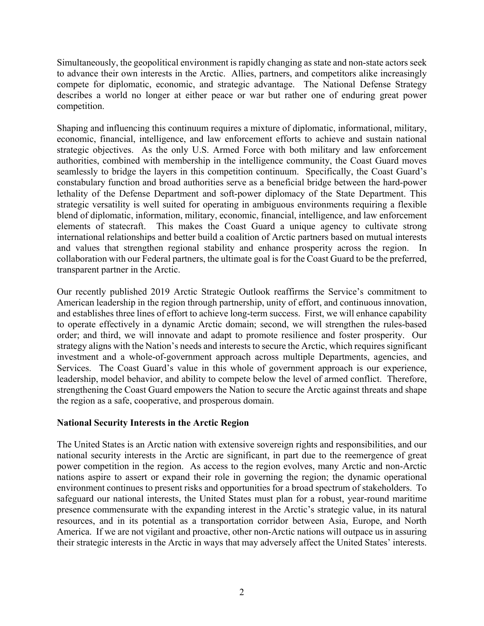Simultaneously, the geopolitical environment is rapidly changing as state and non-state actors seek to advance their own interests in the Arctic. Allies, partners, and competitors alike increasingly compete for diplomatic, economic, and strategic advantage. The National Defense Strategy describes a world no longer at either peace or war but rather one of enduring great power competition.

Shaping and influencing this continuum requires a mixture of diplomatic, informational, military, economic, financial, intelligence, and law enforcement efforts to achieve and sustain national strategic objectives. As the only U.S. Armed Force with both military and law enforcement authorities, combined with membership in the intelligence community, the Coast Guard moves seamlessly to bridge the layers in this competition continuum. Specifically, the Coast Guard's constabulary function and broad authorities serve as a beneficial bridge between the hard-power lethality of the Defense Department and soft-power diplomacy of the State Department. This strategic versatility is well suited for operating in ambiguous environments requiring a flexible blend of diplomatic, information, military, economic, financial, intelligence, and law enforcement elements of statecraft. This makes the Coast Guard a unique agency to cultivate strong international relationships and better build a coalition of Arctic partners based on mutual interests and values that strengthen regional stability and enhance prosperity across the region. In collaboration with our Federal partners, the ultimate goal is for the Coast Guard to be the preferred, transparent partner in the Arctic.

Our recently published 2019 Arctic Strategic Outlook reaffirms the Service's commitment to American leadership in the region through partnership, unity of effort, and continuous innovation, and establishes three lines of effort to achieve long-term success. First, we will enhance capability to operate effectively in a dynamic Arctic domain; second, we will strengthen the rules-based order; and third, we will innovate and adapt to promote resilience and foster prosperity. Our strategy aligns with the Nation's needs and interests to secure the Arctic, which requires significant investment and a whole-of-government approach across multiple Departments, agencies, and Services. The Coast Guard's value in this whole of government approach is our experience, leadership, model behavior, and ability to compete below the level of armed conflict. Therefore, strengthening the Coast Guard empowers the Nation to secure the Arctic against threats and shape the region as a safe, cooperative, and prosperous domain.

## **National Security Interests in the Arctic Region**

The United States is an Arctic nation with extensive sovereign rights and responsibilities, and our national security interests in the Arctic are significant, in part due to the reemergence of great power competition in the region. As access to the region evolves, many Arctic and non-Arctic nations aspire to assert or expand their role in governing the region; the dynamic operational environment continues to present risks and opportunities for a broad spectrum of stakeholders. To safeguard our national interests, the United States must plan for a robust, year-round maritime presence commensurate with the expanding interest in the Arctic's strategic value, in its natural resources, and in its potential as a transportation corridor between Asia, Europe, and North America. If we are not vigilant and proactive, other non-Arctic nations will outpace us in assuring their strategic interests in the Arctic in ways that may adversely affect the United States' interests.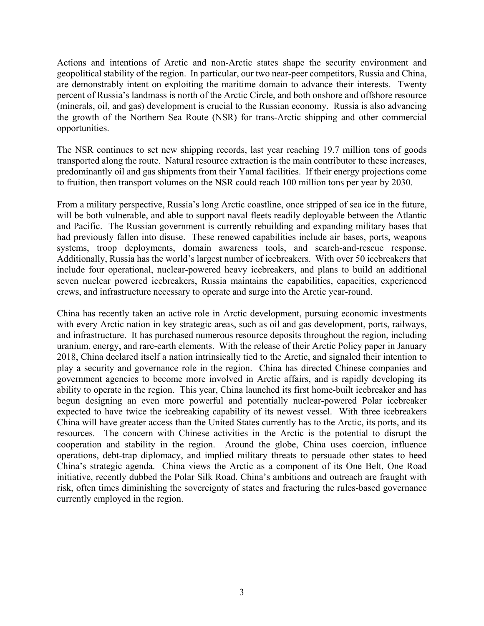Actions and intentions of Arctic and non-Arctic states shape the security environment and geopolitical stability of the region. In particular, our two near-peer competitors, Russia and China, are demonstrably intent on exploiting the maritime domain to advance their interests. Twenty percent of Russia's landmass is north of the Arctic Circle, and both onshore and offshore resource (minerals, oil, and gas) development is crucial to the Russian economy. Russia is also advancing the growth of the Northern Sea Route (NSR) for trans-Arctic shipping and other commercial opportunities.

The NSR continues to set new shipping records, last year reaching 19.7 million tons of goods transported along the route. Natural resource extraction is the main contributor to these increases, predominantly oil and gas shipments from their Yamal facilities. If their energy projections come to fruition, then transport volumes on the NSR could reach 100 million tons per year by 2030.

From a military perspective, Russia's long Arctic coastline, once stripped of sea ice in the future, will be both vulnerable, and able to support naval fleets readily deployable between the Atlantic and Pacific. The Russian government is currently rebuilding and expanding military bases that had previously fallen into disuse. These renewed capabilities include air bases, ports, weapons systems, troop deployments, domain awareness tools, and search-and-rescue response. Additionally, Russia has the world's largest number of icebreakers. With over 50 icebreakers that include four operational, nuclear-powered heavy icebreakers, and plans to build an additional seven nuclear powered icebreakers, Russia maintains the capabilities, capacities, experienced crews, and infrastructure necessary to operate and surge into the Arctic year-round.

China has recently taken an active role in Arctic development, pursuing economic investments with every Arctic nation in key strategic areas, such as oil and gas development, ports, railways, and infrastructure. It has purchased numerous resource deposits throughout the region, including uranium, energy, and rare-earth elements. With the release of their Arctic Policy paper in January 2018, China declared itself a nation intrinsically tied to the Arctic, and signaled their intention to play a security and governance role in the region. China has directed Chinese companies and government agencies to become more involved in Arctic affairs, and is rapidly developing its ability to operate in the region. This year, China launched its first home-built icebreaker and has begun designing an even more powerful and potentially nuclear-powered Polar icebreaker expected to have twice the icebreaking capability of its newest vessel. With three icebreakers China will have greater access than the United States currently has to the Arctic, its ports, and its resources. The concern with Chinese activities in the Arctic is the potential to disrupt the cooperation and stability in the region. Around the globe, China uses coercion, influence operations, debt-trap diplomacy, and implied military threats to persuade other states to heed China's strategic agenda. China views the Arctic as a component of its One Belt, One Road initiative, recently dubbed the Polar Silk Road. China's ambitions and outreach are fraught with risk, often times diminishing the sovereignty of states and fracturing the rules-based governance currently employed in the region.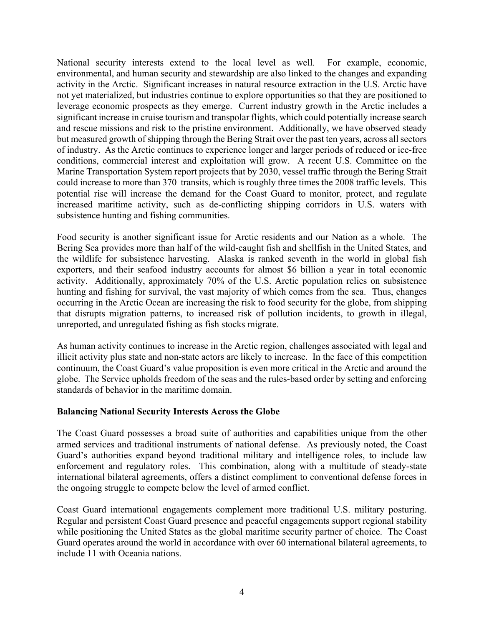National security interests extend to the local level as well. For example, economic, environmental, and human security and stewardship are also linked to the changes and expanding activity in the Arctic. Significant increases in natural resource extraction in the U.S. Arctic have not yet materialized, but industries continue to explore opportunities so that they are positioned to leverage economic prospects as they emerge. Current industry growth in the Arctic includes a significant increase in cruise tourism and transpolar flights, which could potentially increase search and rescue missions and risk to the pristine environment. Additionally, we have observed steady but measured growth of shipping through the Bering Strait over the past ten years, across all sectors of industry. As the Arctic continues to experience longer and larger periods of reduced or ice-free conditions, commercial interest and exploitation will grow. A recent U.S. Committee on the Marine Transportation System report projects that by 2030, vessel traffic through the Bering Strait could increase to more than 370 transits, which is roughly three times the 2008 traffic levels. This potential rise will increase the demand for the Coast Guard to monitor, protect, and regulate increased maritime activity, such as de-conflicting shipping corridors in U.S. waters with subsistence hunting and fishing communities.

Food security is another significant issue for Arctic residents and our Nation as a whole. The Bering Sea provides more than half of the wild-caught fish and shellfish in the United States, and the wildlife for subsistence harvesting. Alaska is ranked seventh in the world in global fish exporters, and their seafood industry accounts for almost \$6 billion a year in total economic activity. Additionally, approximately 70% of the U.S. Arctic population relies on subsistence hunting and fishing for survival, the vast majority of which comes from the sea. Thus, changes occurring in the Arctic Ocean are increasing the risk to food security for the globe, from shipping that disrupts migration patterns, to increased risk of pollution incidents, to growth in illegal, unreported, and unregulated fishing as fish stocks migrate.

As human activity continues to increase in the Arctic region, challenges associated with legal and illicit activity plus state and non-state actors are likely to increase. In the face of this competition continuum, the Coast Guard's value proposition is even more critical in the Arctic and around the globe. The Service upholds freedom of the seas and the rules-based order by setting and enforcing standards of behavior in the maritime domain.

#### **Balancing National Security Interests Across the Globe**

The Coast Guard possesses a broad suite of authorities and capabilities unique from the other armed services and traditional instruments of national defense. As previously noted, the Coast Guard's authorities expand beyond traditional military and intelligence roles, to include law enforcement and regulatory roles. This combination, along with a multitude of steady-state international bilateral agreements, offers a distinct compliment to conventional defense forces in the ongoing struggle to compete below the level of armed conflict.

Coast Guard international engagements complement more traditional U.S. military posturing. Regular and persistent Coast Guard presence and peaceful engagements support regional stability while positioning the United States as the global maritime security partner of choice. The Coast Guard operates around the world in accordance with over 60 international bilateral agreements, to include 11 with Oceania nations.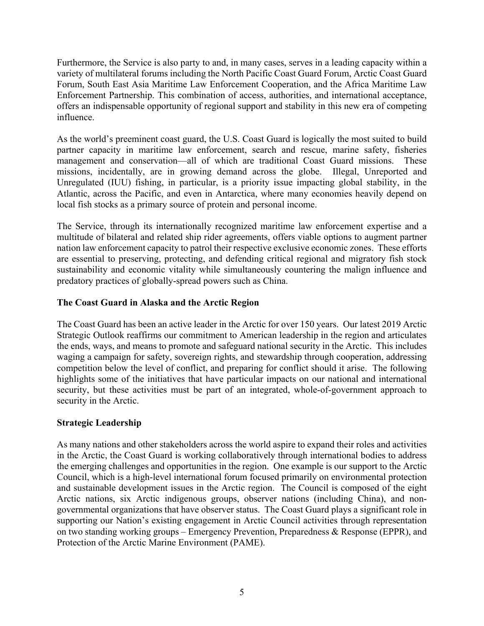Furthermore, the Service is also party to and, in many cases, serves in a leading capacity within a variety of multilateral forums including the North Pacific Coast Guard Forum, Arctic Coast Guard Forum, South East Asia Maritime Law Enforcement Cooperation, and the Africa Maritime Law Enforcement Partnership. This combination of access, authorities, and international acceptance, offers an indispensable opportunity of regional support and stability in this new era of competing influence.

As the world's preeminent coast guard, the U.S. Coast Guard is logically the most suited to build partner capacity in maritime law enforcement, search and rescue, marine safety, fisheries management and conservation—all of which are traditional Coast Guard missions. These missions, incidentally, are in growing demand across the globe. Illegal, Unreported and Unregulated (IUU) fishing, in particular, is a priority issue impacting global stability, in the Atlantic, across the Pacific, and even in Antarctica, where many economies heavily depend on local fish stocks as a primary source of protein and personal income.

The Service, through its internationally recognized maritime law enforcement expertise and a multitude of bilateral and related ship rider agreements, offers viable options to augment partner nation law enforcement capacity to patrol their respective exclusive economic zones. These efforts are essential to preserving, protecting, and defending critical regional and migratory fish stock sustainability and economic vitality while simultaneously countering the malign influence and predatory practices of globally-spread powers such as China.

# **The Coast Guard in Alaska and the Arctic Region**

The Coast Guard has been an active leader in the Arctic for over 150 years. Our latest 2019 Arctic Strategic Outlook reaffirms our commitment to American leadership in the region and articulates the ends, ways, and means to promote and safeguard national security in the Arctic. This includes waging a campaign for safety, sovereign rights, and stewardship through cooperation, addressing competition below the level of conflict, and preparing for conflict should it arise. The following highlights some of the initiatives that have particular impacts on our national and international security, but these activities must be part of an integrated, whole-of-government approach to security in the Arctic.

## **Strategic Leadership**

As many nations and other stakeholders across the world aspire to expand their roles and activities in the Arctic, the Coast Guard is working collaboratively through international bodies to address the emerging challenges and opportunities in the region. One example is our support to the Arctic Council, which is a high-level international forum focused primarily on environmental protection and sustainable development issues in the Arctic region. The Council is composed of the eight Arctic nations, six Arctic indigenous groups, observer nations (including China), and nongovernmental organizations that have observer status. The Coast Guard plays a significant role in supporting our Nation's existing engagement in Arctic Council activities through representation on two standing working groups – Emergency Prevention, Preparedness & Response (EPPR), and Protection of the Arctic Marine Environment (PAME).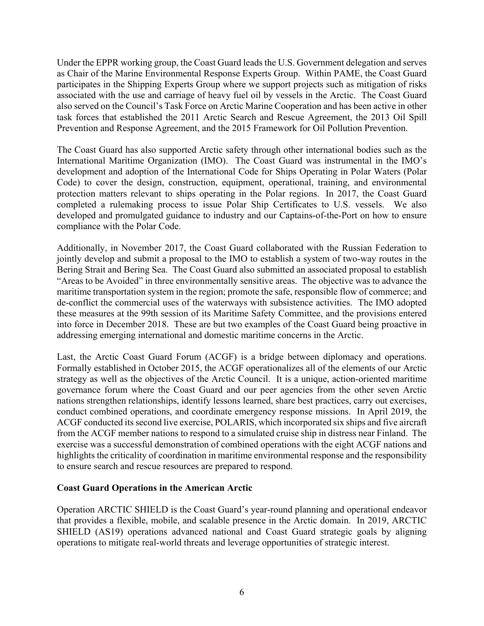Under the EPPR working group, the Coast Guard leads the U.S. Government delegation and serves as Chair of the Marine Environmental Response Experts Group. Within PAME, the Coast Guard participates in the Shipping Experts Group where we support projects such as mitigation of risks associated with the use and carriage of heavy fuel oil by vessels in the Arctic. The Coast Guard also served on the Council's Task Force on Arctic Marine Cooperation and has been active in other task forces that established the 2011 Arctic Search and Rescue Agreement, the 2013 Oil Spill Prevention and Response Agreement, and the 2015 Framework for Oil Pollution Prevention.

The Coast Guard has also supported Arctic safety through other international bodies such as the International Maritime Organization (IMO). The Coast Guard was instrumental in the IMO's development and adoption of the International Code for Ships Operating in Polar Waters (Polar Code) to cover the design, construction, equipment, operational, training, and environmental protection matters relevant to ships operating in the Polar regions. In 2017, the Coast Guard completed a rulemaking process to issue Polar Ship Certificates to U.S. vessels. We also developed and promulgated guidance to industry and our Captains-of-the-Port on how to ensure compliance with the Polar Code.

Additionally, in November 2017, the Coast Guard collaborated with the Russian Federation to jointly develop and submit a proposal to the IMO to establish a system of two-way routes in the Bering Strait and Bering Sea. The Coast Guard also submitted an associated proposal to establish "Areas to be Avoided" in three environmentally sensitive areas. The objective was to advance the maritime transportation system in the region; promote the safe, responsible flow of commerce; and de-conflict the commercial uses of the waterways with subsistence activities. The IMO adopted these measures at the 99th session of its Maritime Safety Committee, and the provisions entered into force in December 2018. These are but two examples of the Coast Guard being proactive in addressing emerging international and domestic maritime concerns in the Arctic.

Last, the Arctic Coast Guard Forum (ACGF) is a bridge between diplomacy and operations. Formally established in October 2015, the ACGF operationalizes all of the elements of our Arctic strategy as well as the objectives of the Arctic Council. It is a unique, action-oriented maritime governance forum where the Coast Guard and our peer agencies from the other seven Arctic nations strengthen relationships, identify lessons learned, share best practices, carry out exercises, conduct combined operations, and coordinate emergency response missions. In April 2019, the ACGF conducted its second live exercise, POLARIS, which incorporated six ships and five aircraft from the ACGF member nations to respond to a simulated cruise ship in distress near Finland. The exercise was a successful demonstration of combined operations with the eight ACGF nations and highlights the criticality of coordination in maritime environmental response and the responsibility to ensure search and rescue resources are prepared to respond.

#### **Coast Guard Operations in the American Arctic**

Operation ARCTIC SHIELD is the Coast Guard's year-round planning and operational endeavor that provides a flexible, mobile, and scalable presence in the Arctic domain. In 2019, ARCTIC SHIELD (AS19) operations advanced national and Coast Guard strategic goals by aligning operations to mitigate real-world threats and leverage opportunities of strategic interest.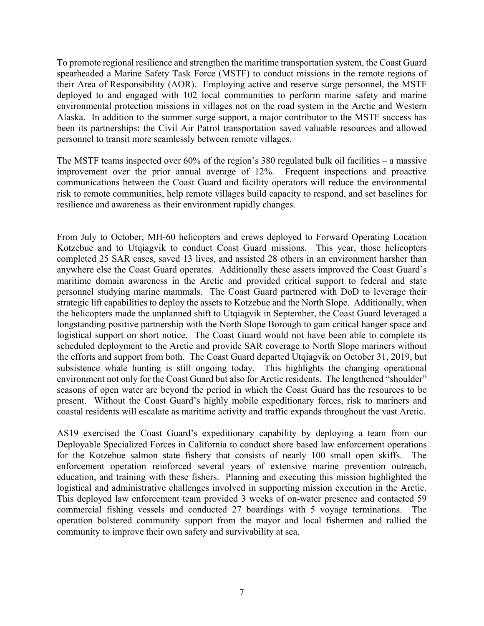To promote regional resilience and strengthen the maritime transportation system, the Coast Guard spearheaded a Marine Safety Task Force (MSTF) to conduct missions in the remote regions of their Area of Responsibility (AOR). Employing active and reserve surge personnel, the MSTF deployed to and engaged with 102 local communities to perform marine safety and marine environmental protection missions in villages not on the road system in the Arctic and Western Alaska. In addition to the summer surge support, a major contributor to the MSTF success has been its partnerships: the Civil Air Patrol transportation saved valuable resources and allowed personnel to transit more seamlessly between remote villages.

The MSTF teams inspected over 60% of the region's 380 regulated bulk oil facilities – a massive improvement over the prior annual average of 12%. Frequent inspections and proactive communications between the Coast Guard and facility operators will reduce the environmental risk to remote communities, help remote villages build capacity to respond, and set baselines for resilience and awareness as their environment rapidly changes.

From July to October, MH-60 helicopters and crews deployed to Forward Operating Location Kotzebue and to Utqiagvik to conduct Coast Guard missions. This year, those helicopters completed 25 SAR cases, saved 13 lives, and assisted 28 others in an environment harsher than anywhere else the Coast Guard operates. Additionally these assets improved the Coast Guard's maritime domain awareness in the Arctic and provided critical support to federal and state personnel studying marine mammals. The Coast Guard partnered with DoD to leverage their strategic lift capabilities to deploy the assets to Kotzebue and the North Slope. Additionally, when the helicopters made the unplanned shift to Utqiagvik in September, the Coast Guard leveraged a longstanding positive partnership with the North Slope Borough to gain critical hanger space and logistical support on short notice. The Coast Guard would not have been able to complete its scheduled deployment to the Arctic and provide SAR coverage to North Slope mariners without the efforts and support from both. The Coast Guard departed Utqiagvik on October 31, 2019, but subsistence whale hunting is still ongoing today. This highlights the changing operational environment not only for the Coast Guard but also for Arctic residents. The lengthened "shoulder" seasons of open water are beyond the period in which the Coast Guard has the resources to be present. Without the Coast Guard's highly mobile expeditionary forces, risk to mariners and coastal residents will escalate as maritime activity and traffic expands throughout the vast Arctic.

AS19 exercised the Coast Guard's expeditionary capability by deploying a team from our Deployable Specialized Forces in California to conduct shore based law enforcement operations for the Kotzebue salmon state fishery that consists of nearly 100 small open skiffs. The enforcement operation reinforced several years of extensive marine prevention outreach, education, and training with these fishers. Planning and executing this mission highlighted the logistical and administrative challenges involved in supporting mission execution in the Arctic. This deployed law enforcement team provided 3 weeks of on-water presence and contacted 59 commercial fishing vessels and conducted 27 boardings with 5 voyage terminations. The operation bolstered community support from the mayor and local fishermen and rallied the community to improve their own safety and survivability at sea.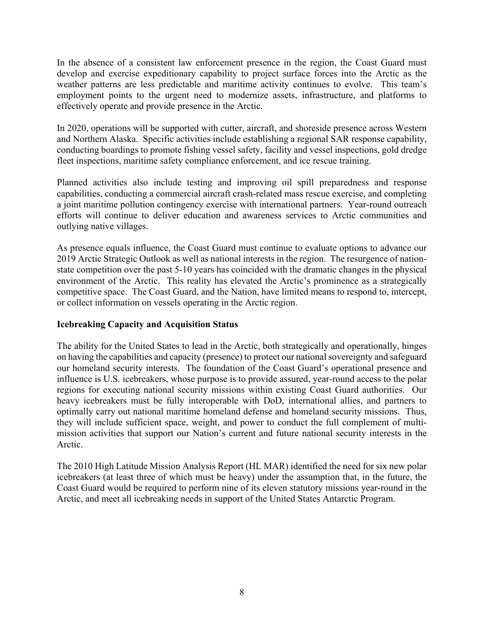In the absence of a consistent law enforcement presence in the region, the Coast Guard must develop and exercise expeditionary capability to project surface forces into the Arctic as the weather patterns are less predictable and maritime activity continues to evolve. This team's employment points to the urgent need to modernize assets, infrastructure, and platforms to effectively operate and provide presence in the Arctic.

In 2020, operations will be supported with cutter, aircraft, and shoreside presence across Western and Northern Alaska. Specific activities include establishing a regional SAR response capability, conducting boardings to promote fishing vessel safety, facility and vessel inspections, gold dredge fleet inspections, maritime safety compliance enforcement, and ice rescue training.

Planned activities also include testing and improving oil spill preparedness and response capabilities, conducting a commercial aircraft crash-related mass rescue exercise, and completing a joint maritime pollution contingency exercise with international partners. Year-round outreach efforts will continue to deliver education and awareness services to Arctic communities and outlying native villages.

As presence equals influence, the Coast Guard must continue to evaluate options to advance our 2019 Arctic Strategic Outlook as well as national interests in the region. The resurgence of nationstate competition over the past 5-10 years has coincided with the dramatic changes in the physical environment of the Arctic. This reality has elevated the Arctic's prominence as a strategically competitive space. The Coast Guard, and the Nation, have limited means to respond to, intercept, or collect information on vessels operating in the Arctic region.

## **Icebreaking Capacity and Acquisition Status**

The ability for the United States to lead in the Arctic, both strategically and operationally, hinges on having the capabilities and capacity (presence) to protect our national sovereignty and safeguard our homeland security interests. The foundation of the Coast Guard's operational presence and influence is U.S. icebreakers, whose purpose is to provide assured, year-round access to the polar regions for executing national security missions within existing Coast Guard authorities. Our heavy icebreakers must be fully interoperable with DoD, international allies, and partners to optimally carry out national maritime homeland defense and homeland security missions. Thus, they will include sufficient space, weight, and power to conduct the full complement of multimission activities that support our Nation's current and future national security interests in the Arctic.

The 2010 High Latitude Mission Analysis Report (HL MAR) identified the need for six new polar icebreakers (at least three of which must be heavy) under the assumption that, in the future, the Coast Guard would be required to perform nine of its eleven statutory missions year-round in the Arctic, and meet all icebreaking needs in support of the United States Antarctic Program.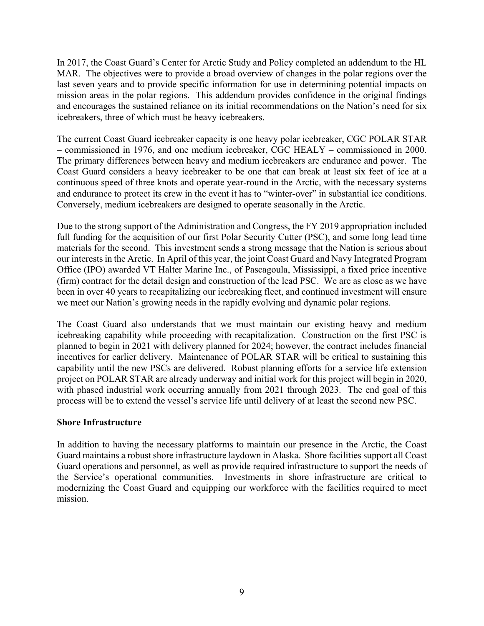In 2017, the Coast Guard's Center for Arctic Study and Policy completed an addendum to the HL MAR. The objectives were to provide a broad overview of changes in the polar regions over the last seven years and to provide specific information for use in determining potential impacts on mission areas in the polar regions. This addendum provides confidence in the original findings and encourages the sustained reliance on its initial recommendations on the Nation's need for six icebreakers, three of which must be heavy icebreakers.

The current Coast Guard icebreaker capacity is one heavy polar icebreaker, CGC POLAR STAR – commissioned in 1976, and one medium icebreaker, CGC HEALY – commissioned in 2000. The primary differences between heavy and medium icebreakers are endurance and power. The Coast Guard considers a heavy icebreaker to be one that can break at least six feet of ice at a continuous speed of three knots and operate year-round in the Arctic, with the necessary systems and endurance to protect its crew in the event it has to "winter-over" in substantial ice conditions. Conversely, medium icebreakers are designed to operate seasonally in the Arctic.

Due to the strong support of the Administration and Congress, the FY 2019 appropriation included full funding for the acquisition of our first Polar Security Cutter (PSC), and some long lead time materials for the second. This investment sends a strong message that the Nation is serious about our interests in the Arctic. In April of this year, the joint Coast Guard and Navy Integrated Program Office (IPO) awarded VT Halter Marine Inc., of Pascagoula, Mississippi, a fixed price incentive (firm) contract for the detail design and construction of the lead PSC. We are as close as we have been in over 40 years to recapitalizing our icebreaking fleet, and continued investment will ensure we meet our Nation's growing needs in the rapidly evolving and dynamic polar regions.

The Coast Guard also understands that we must maintain our existing heavy and medium icebreaking capability while proceeding with recapitalization. Construction on the first PSC is planned to begin in 2021 with delivery planned for 2024; however, the contract includes financial incentives for earlier delivery. Maintenance of POLAR STAR will be critical to sustaining this capability until the new PSCs are delivered. Robust planning efforts for a service life extension project on POLAR STAR are already underway and initial work for this project will begin in 2020, with phased industrial work occurring annually from 2021 through 2023. The end goal of this process will be to extend the vessel's service life until delivery of at least the second new PSC.

#### **Shore Infrastructure**

In addition to having the necessary platforms to maintain our presence in the Arctic, the Coast Guard maintains a robust shore infrastructure laydown in Alaska. Shore facilities support all Coast Guard operations and personnel, as well as provide required infrastructure to support the needs of the Service's operational communities. Investments in shore infrastructure are critical to modernizing the Coast Guard and equipping our workforce with the facilities required to meet mission.